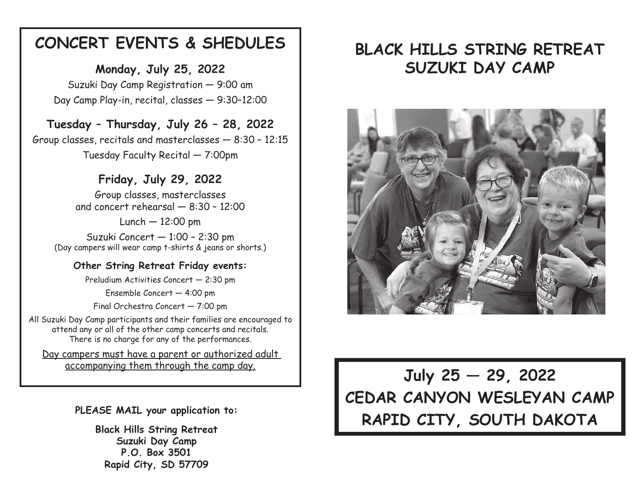# **CONCERT EVENTS & SHEDULES**

**Monday, July 25, 2022**

Suzuki Day Camp Registration — 9:00 am Day Camp Play-in, recital, classes — 9:30–12:00

**Tuesday – Thursday, July 26 – 28, 2022** Group classes, recitals and masterclasses — 8:30 – 12:15 Tuesday Faculty Recital — 7:00pm

> **Friday, July 29, 2022** Group classes, masterclasses and concert rehearsal — 8:30 – 12:00

Lunch — 12:00 pm Suzuki Concert — 1:00 – 2:30 pm (Day campers will wear camp t-shirts & jeans or shorts.)

# **Other String Retreat Friday events:**

Preludium Activities Concert — 2:30 pm

Ensemble Concert — 4:00 pm

Final Orchestra Concert — 7:00 pm

All Suzuki Day Camp participants and their families are encouraged to attend any or all of the other camp concerts and recitals. There is no charge for any of the performances.

Day campers must have a parent or authorized adult accompanying them through the camp day.

**PLEASE MAIL your application to:**

**Black Hills String Retreat Suzuki Day Camp P.O. Box 3501 Rapid City, SD 57709**

# **BLACK HILLS STRING RETREAT SUZUKI DAY CAMP**



**July 25 — 29, 2022 CEDAR CANYON WESLEYAN CAMP RAPID CITY, SOUTH DAKOTA**